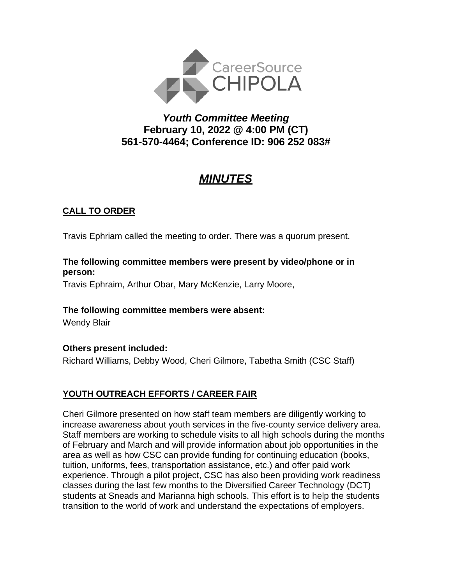

# *Youth Committee Meeting* **February 10, 2022 @ 4:00 PM (CT) 561-570-4464; Conference ID: 906 252 083#**

# *MINUTES*

## **CALL TO ORDER**

Travis Ephriam called the meeting to order. There was a quorum present.

#### **The following committee members were present by video/phone or in person:**

Travis Ephraim, Arthur Obar, Mary McKenzie, Larry Moore,

## **The following committee members were absent:**

Wendy Blair

## **Others present included:**

Richard Williams, Debby Wood, Cheri Gilmore, Tabetha Smith (CSC Staff)

## **YOUTH OUTREACH EFFORTS / CAREER FAIR**

Cheri Gilmore presented on how staff team members are diligently working to increase awareness about youth services in the five-county service delivery area. Staff members are working to schedule visits to all high schools during the months of February and March and will provide information about job opportunities in the area as well as how CSC can provide funding for continuing education (books, tuition, uniforms, fees, transportation assistance, etc.) and offer paid work experience. Through a pilot project, CSC has also been providing work readiness classes during the last few months to the Diversified Career Technology (DCT) students at Sneads and Marianna high schools. This effort is to help the students transition to the world of work and understand the expectations of employers.